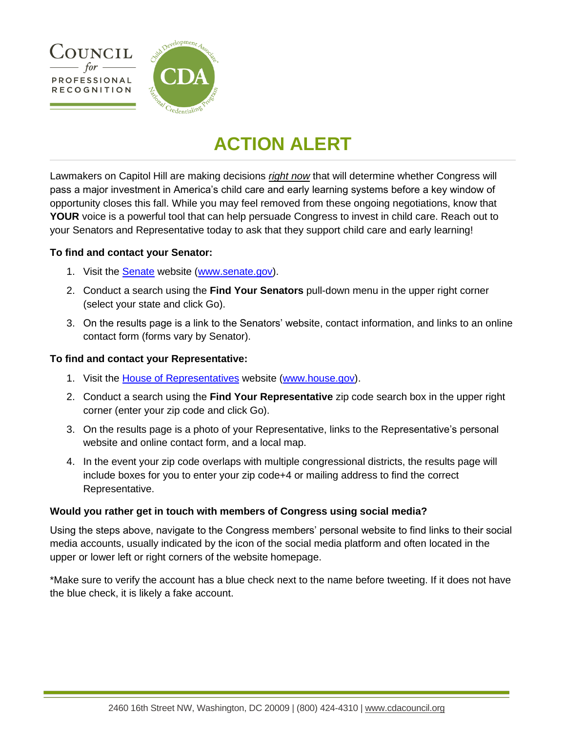

## **ACTION ALERT**

Lawmakers on Capitol Hill are making decisions *right now* that will determine whether Congress will pass a major investment in America's child care and early learning systems before a key window of opportunity closes this fall. While you may feel removed from these ongoing negotiations, know that **YOUR** voice is a powerful tool that can help persuade Congress to invest in child care. Reach out to your Senators and Representative today to ask that they support child care and early learning!

#### **To find and contact your Senator:**

- 1. Visit the [Senate](http://www.senate.gov/) website [\(www.senate.gov\)](http://www.senate.gov/).
- 2. Conduct a search using the **Find Your Senators** pull-down menu in the upper right corner (select your state and click Go).
- 3. On the results page is a link to the Senators' website, contact information, and links to an online contact form (forms vary by Senator).

#### **To find and contact your Representative:**

- 1. Visit the [House of Representatives](http://www.house.gov/) website [\(www.house.gov\)](http://www.house.gov/).
- 2. Conduct a search using the **Find Your Representative** zip code search box in the upper right corner (enter your zip code and click Go).
- 3. On the results page is a photo of your Representative, links to the Representative's personal website and online contact form, and a local map.
- 4. In the event your zip code overlaps with multiple congressional districts, the results page will include boxes for you to enter your zip code+4 or mailing address to find the correct Representative.

#### **Would you rather get in touch with members of Congress using social media?**

Using the steps above, navigate to the Congress members' personal website to find links to their social media accounts, usually indicated by the icon of the social media platform and often located in the upper or lower left or right corners of the website homepage.

\*Make sure to verify the account has a blue check next to the name before tweeting. If it does not have the blue check, it is likely a fake account.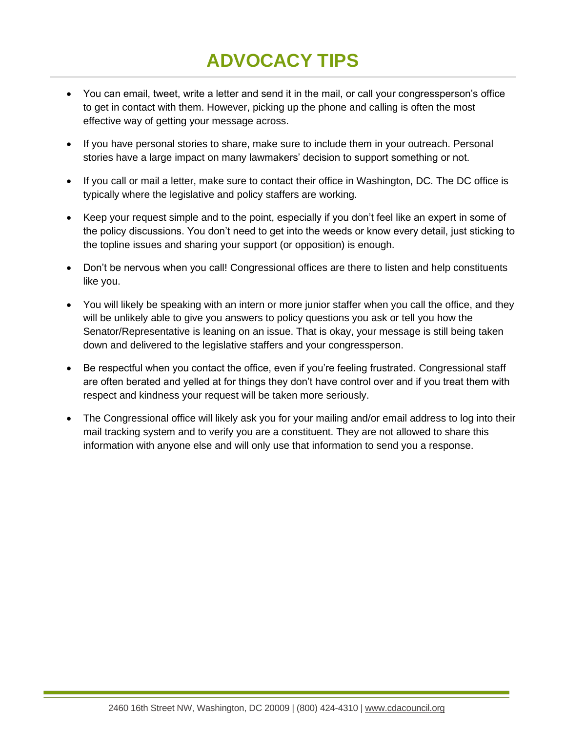# **ADVOCACY TIPS**

- You can email, tweet, write a letter and send it in the mail, or call your congressperson's office to get in contact with them. However, picking up the phone and calling is often the most effective way of getting your message across.
- If you have personal stories to share, make sure to include them in your outreach. Personal stories have a large impact on many lawmakers' decision to support something or not.
- If you call or mail a letter, make sure to contact their office in Washington, DC. The DC office is typically where the legislative and policy staffers are working.
- Keep your request simple and to the point, especially if you don't feel like an expert in some of the policy discussions. You don't need to get into the weeds or know every detail, just sticking to the topline issues and sharing your support (or opposition) is enough.
- Don't be nervous when you call! Congressional offices are there to listen and help constituents like you.
- You will likely be speaking with an intern or more junior staffer when you call the office, and they will be unlikely able to give you answers to policy questions you ask or tell you how the Senator/Representative is leaning on an issue. That is okay, your message is still being taken down and delivered to the legislative staffers and your congressperson.
- Be respectful when you contact the office, even if you're feeling frustrated. Congressional staff are often berated and yelled at for things they don't have control over and if you treat them with respect and kindness your request will be taken more seriously.
- The Congressional office will likely ask you for your mailing and/or email address to log into their mail tracking system and to verify you are a constituent. They are not allowed to share this information with anyone else and will only use that information to send you a response.